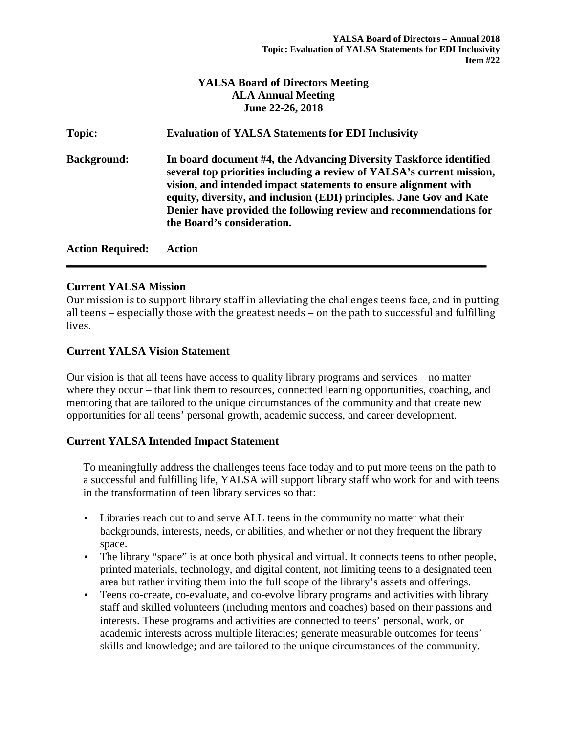## **YALSA Board of Directors Meeting ALA Annual Meeting June 22-26, 2018**

| Topic:                  | <b>Evaluation of YALSA Statements for EDI Inclusivity</b>                                                                                                                                                                                                                                                                                                                                 |
|-------------------------|-------------------------------------------------------------------------------------------------------------------------------------------------------------------------------------------------------------------------------------------------------------------------------------------------------------------------------------------------------------------------------------------|
| <b>Background:</b>      | In board document #4, the Advancing Diversity Taskforce identified<br>several top priorities including a review of YALSA's current mission,<br>vision, and intended impact statements to ensure alignment with<br>equity, diversity, and inclusion (EDI) principles. Jane Gov and Kate<br>Denier have provided the following review and recommendations for<br>the Board's consideration. |
| <b>Action Required:</b> | Action                                                                                                                                                                                                                                                                                                                                                                                    |

### **Current YALSA Mission**

Our mission is to support library staff in alleviating the challenges teens face, and in putting all teens  $-$  especially those with the greatest needs  $-$  on the path to successful and fulfilling lives.

### **Current YALSA Vision Statement**

Our vision is that all teens have access to quality library programs and services  $-$  no matter where they occur  $-$  that link them to resources, connected learning opportunities, coaching, and mentoring that are tailored to the unique circumstances of the community and that create new opportunities for all teens' personal growth, academic success, and career development.

### **Current YALSA Intended Impact Statement**

To meaningfully address the challenges teens face today and to put more teens on the path to a successful and fulfilling life, YALSA will support library staff who work for and with teens in the transformation of teen library services so that:

- Libraries reach out to and serve ALL teens in the community no matter what their backgrounds, interests, needs, or abilities, and whether or not they frequent the library space.
- The library "space" is at once both physical and virtual. It connects teens to other people, printed materials, technology, and digital content, not limiting teens to a designated teen area but rather inviting them into the full scope of the library's assets and offerings.
- Teens co-create, co-evaluate, and co-evolve library programs and activities with library staff and skilled volunteers (including mentors and coaches) based on their passions and interests. These programs and activities are connected to teens' personal, work, or academic interests across multiple literacies; generate measurable outcomes for teens' skills and knowledge; and are tailored to the unique circumstances of the community.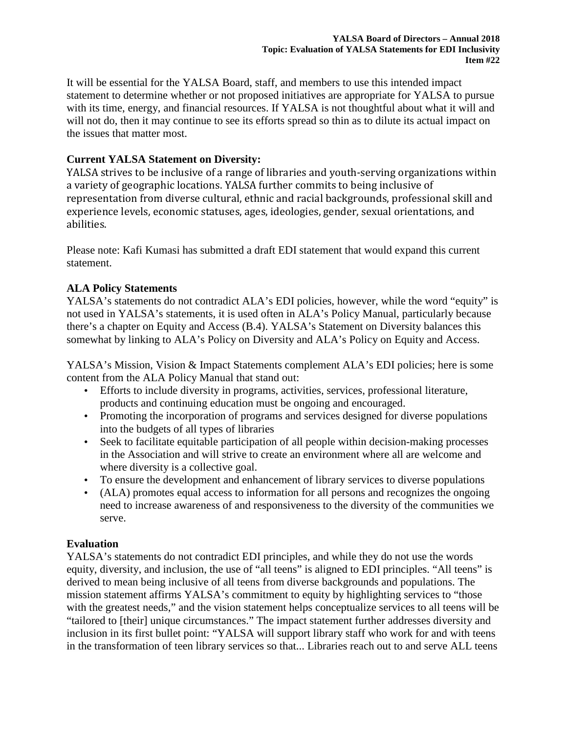It will be essential for the YALSA Board, staff, and members to use this intended impact statement to determine whether or not proposed initiatives are appropriate for YALSA to pursue with its time, energy, and financial resources. If YALSA is not thoughtful about what it will and will not do, then it may continue to see its efforts spread so thin as to dilute its actual impact on the issues that matter most.

## **Current YALSA Statement on Diversity:**

YALSA strives to be inclusive of a range of libraries and youth-serving organizations within a variety of geographic locations. YALSA further commits to being inclusive of representation from diverse cultural, ethnic and racial backgrounds, professional skill and experience levels, economic statuses, ages, ideologies, gender, sexual orientations, and abilities.

Please note: Kafi Kumasi has submitted a draft EDI statement that would expand this current statement.

## **ALA Policy Statements**

YALSA's statements do not contradict ALA's EDI policies, however, while the word "equity" is not used in YALSA's statements, it is used often in ALA's Policy Manual, particularly because there's a chapter on Equity and Access (B.4). YALSA's Statement on Diversity balances this somewhat by linking to ALA's Policy on Diversity and ALA's Policy on Equity and Access.

YALSA's Mission, Vision & Impact Statements complement ALA's EDI policies; here is some content from the ALA Policy Manual that stand out:

- Efforts to include diversity in programs, activities, services, professional literature, products and continuing education must be ongoing and encouraged.
- Promoting the incorporation of programs and services designed for diverse populations into the budgets of all types of libraries
- Seek to facilitate equitable participation of all people within decision-making processes in the Association and will strive to create an environment where all are welcome and where diversity is a collective goal.
- To ensure the development and enhancement of library services to diverse populations
- (ALA) promotes equal access to information for all persons and recognizes the ongoing need to increase awareness of and responsiveness to the diversity of the communities we serve.

# **Evaluation**

YALSA's statements do not contradict EDI principles, and while they do not use the words equity, diversity, and inclusion, the use of "all teens" is aligned to EDI principles. "All teens" is derived to mean being inclusive of all teens from diverse backgrounds and populations. The mission statement affirms YALSA's commitment to equity by highlighting services to "those with the greatest needs," and the vision statement helps conceptualize services to all teens will be "tailored to [their] unique circumstances." The impact statement further addresses diversity and inclusion in its first bullet point: "YALSA will support library staff who work for and with teens in the transformation of teen library services so that... Libraries reach out to and serve ALL teens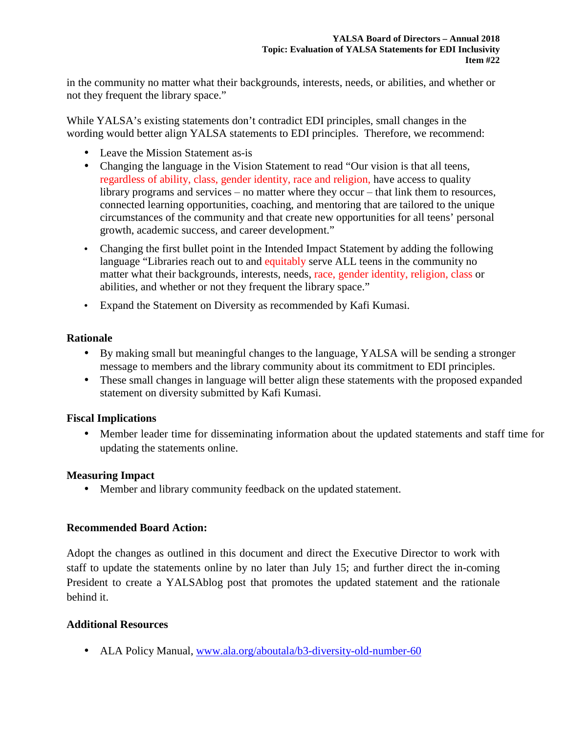in the community no matter what their backgrounds, interests, needs, or abilities, and whether or not they frequent the library space."

While YALSA's existing statements don't contradict EDI principles, small changes in the wording would better align YALSA statements to EDI principles. Therefore, we recommend:

- Leave the Mission Statement as-is
- Changing the language in the Vision Statement to read "Our vision is that all teens, regardless of ability, class, gender identity, race and religion, have access to quality library programs and services  $-$  no matter where they occur  $-$  that link them to resources, connected learning opportunities, coaching, and mentoring that are tailored to the unique circumstances of the community and that create new opportunities for all teens' personal growth, academic success, and career development."
- Changing the first bullet point in the Intended Impact Statement by adding the following language "Libraries reach out to and equitably serve ALL teens in the community no matter what their backgrounds, interests, needs, race, gender identity, religion, class or abilities, and whether or not they frequent the library space."
- Expand the Statement on Diversity as recommended by Kafi Kumasi.

## **Rationale**

- By making small but meaningful changes to the language, YALSA will be sending a stronger message to members and the library community about its commitment to EDI principles.
- These small changes in language will better align these statements with the proposed expanded statement on diversity submitted by Kafi Kumasi.

## **Fiscal Implications**

• Member leader time for disseminating information about the updated statements and staff time for updating the statements online.

## **Measuring Impact**

• Member and library community feedback on the updated statement.

## **Recommended Board Action:**

Adopt the changes as outlined in this document and direct the Executive Director to work with staff to update the statements online by no later than July 15; and further direct the in-coming President to create a YALSAblog post that promotes the updated statement and the rationale behind it.

## **Additional Resources**

• ALA Policy Manual, www.ala.org/aboutala/b3-diversity-old-number-60